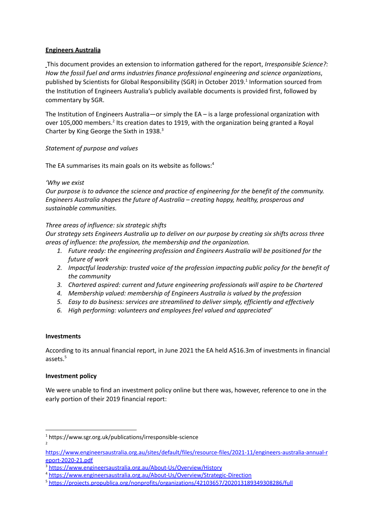## **Engineers Australia**

This document provides an extension to information gathered for the report, *Irresponsible Science?: How the fossil fuel and arms industries finance professional engineering and science organizations*, published by Scientists for Global Responsibility (SGR) in October 2019. 1 Information sourced from the Institution of Engineers Australia's publicly available documents is provided first, followed by commentary by SGR.

The Institution of Engineers Australia—or simply the EA – is a large professional organization with over 105,000 members.<sup>2</sup> Its creation dates to 1919, with the organization being granted a Royal Charter by King George the Sixth in 1938.<sup>3</sup>

## *Statement of purpose and values*

The EA summarises its main goals on its website as follows:<sup>4</sup>

## *'Why we exist*

*Our purpose is to advance the science and practice of engineering for the benefit of the community. Engineers Australia shapes the future of Australia – creating happy, healthy, prosperous and sustainable communities.*

## *Three areas of influence: six strategic shifts*

*Our strategy sets Engineers Australia up to deliver on our purpose by creating six shifts across three areas of influence: the profession, the membership and the organization.*

- *1. Future ready: the engineering profession and Engineers Australia will be positioned for the future of work*
- *2. Impactful leadership: trusted voice of the profession impacting public policy for the benefit of the community*
- *3. Chartered aspired: current and future engineering professionals will aspire to be Chartered*
- *4. Membership valued: membership of Engineers Australia is valued by the profession*
- *5. Easy to do business: services are streamlined to deliver simply, efficiently and effectively*
- *6. High performing: volunteers and employees feel valued and appreciated'*

### **Investments**

According to its annual financial report, in June 2021 the EA held A\$16.3m of investments in financial assets. 5

# **Investment policy**

We were unable to find an investment policy online but there was, however, reference to one in the early portion of their 2019 financial report:

<sup>2</sup> <sup>1</sup> <https://www.sgr.org.uk/publications/irresponsible-science>

[https://www.engineersaustralia.org.au/sites/default/files/resource-files/2021-11/engineers-australia-annual-r](https://www.engineersaustralia.org.au/sites/default/files/resource-files/2021-11/engineers-australia-annual-report-2020-21.pdf) [eport-2020-21.pdf](https://www.engineersaustralia.org.au/sites/default/files/resource-files/2021-11/engineers-australia-annual-report-2020-21.pdf)

<sup>3</sup> <https://www.engineersaustralia.org.au/About-Us/Overview/History>

<sup>4</sup> <https://www.engineersaustralia.org.au/About-Us/Overview/Strategic-Direction>

<sup>5</sup> <https://projects.propublica.org/nonprofits/organizations/42103657/202013189349308286/full>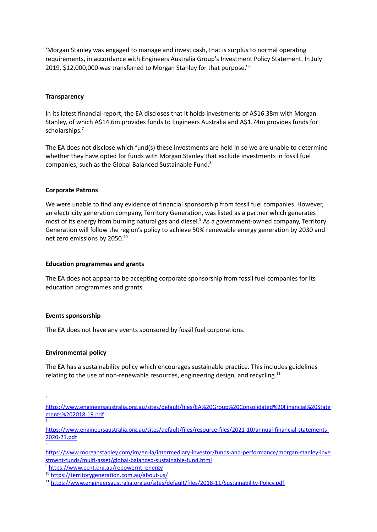'Morgan Stanley was engaged to manage and invest cash, that is surplus to normal operating requirements, in accordance with Engineers Australia Group's Investment Policy Statement. In July 2019, \$12,000,000 was transferred to Morgan Stanley for that purpose.' 6

### **Transparency**

In its latest financial report, the EA discloses that it holds investments of A\$16.38m with Morgan Stanley, of which A\$14.6m provides funds to Engineers Australia and A\$1.74m provides funds for scholarships. 7

The EA does not disclose which fund(s) these investments are held in so we are unable to determine whether they have opted for funds with Morgan Stanley that exclude investments in fossil fuel companies, such as the Global Balanced Sustainable Fund. 8

#### **Corporate Patrons**

We were unable to find any evidence of financial sponsorship from fossil fuel companies. However, an electricity generation company, Territory Generation, was listed as a partner which generates most of its energy from burning natural gas and diesel.<sup>9</sup> As a government-owned company, Territory Generation will follow the region's policy to achieve 50% renewable energy generation by 2030 and net zero emissions by 2050. 10

#### **Education programmes and grants**

The EA does not appear to be accepting corporate sponsorship from fossil fuel companies for its education programmes and grants.

#### **Events sponsorship**

The EA does not have any events sponsored by fossil fuel corporations.

#### **Environmental policy**

The EA has a sustainability policy which encourages sustainable practice. This includes guidelines relating to the use of non-renewable resources, engineering design, and recycling.<sup>11</sup>

6

8

7

<sup>9</sup> [https://www.ecnt.org.au/repowernt\\_energy](https://www.ecnt.org.au/repowernt_energy)

[https://www.engineersaustralia.org.au/sites/default/files/EA%20Group%20Consolidated%20Financial%20State](https://www.engineersaustralia.org.au/sites/default/files/EA%20Group%20Consolidated%20Financial%20Statements%202018-19.pdf) [ments%202018-19.pdf](https://www.engineersaustralia.org.au/sites/default/files/EA%20Group%20Consolidated%20Financial%20Statements%202018-19.pdf)

[https://www.engineersaustralia.org.au/sites/default/files/resource-files/2021-10/annual-financial-statements-](https://www.engineersaustralia.org.au/sites/default/files/resource-files/2021-10/annual-financial-statements-2020-21.pdf)[2020-21.pdf](https://www.engineersaustralia.org.au/sites/default/files/resource-files/2021-10/annual-financial-statements-2020-21.pdf)

[https://www.morganstanley.com/im/en-la/intermediary-investor/funds-and-performance/morgan-stanley-inve](https://www.morganstanley.com/im/en-la/intermediary-investor/funds-and-performance/morgan-stanley-investment-funds/multi-asset/global-balanced-sustainable-fund.html) [stment-funds/multi-asset/global-balanced-sustainable-fund.html](https://www.morganstanley.com/im/en-la/intermediary-investor/funds-and-performance/morgan-stanley-investment-funds/multi-asset/global-balanced-sustainable-fund.html)

<sup>10</sup> <https://territorygeneration.com.au/about-us/>

<sup>11</sup> <https://www.engineersaustralia.org.au/sites/default/files/2018-11/Sustainability-Policy.pdf>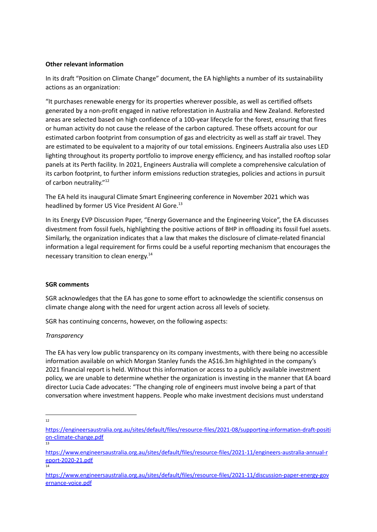## **Other relevant information**

In its draft "Position on Climate Change" document, the EA highlights a number of its sustainability actions as an organization:

"It purchases renewable energy for its properties wherever possible, as well as certified offsets generated by a non-profit engaged in native reforestation in Australia and New Zealand. Reforested areas are selected based on high confidence of a 100-year lifecycle for the forest, ensuring that fires or human activity do not cause the release of the carbon captured. These offsets account for our estimated carbon footprint from consumption of gas and electricity as well as staff air travel. They are estimated to be equivalent to a majority of our total emissions. Engineers Australia also uses LED lighting throughout its property portfolio to improve energy efficiency, and has installed rooftop solar panels at its Perth facility. In 2021, Engineers Australia will complete a comprehensive calculation of its carbon footprint, to further inform emissions reduction strategies, policies and actions in pursuit of carbon neutrality."<sup>12</sup>

The EA held its inaugural Climate Smart Engineering conference in November 2021 which was headlined by former US Vice President Al Gore.<sup>13</sup>

In its Energy EVP Discussion Paper, "Energy Governance and the Engineering Voice", the EA discusses divestment from fossil fuels, highlighting the positive actions of BHP in offloading its fossil fuel assets. Similarly, the organization indicates that a law that makes the disclosure of climate-related financial information a legal requirement for firms could be a useful reporting mechanism that encourages the necessary transition to clean energy. 14

### **SGR comments**

SGR acknowledges that the EA has gone to some effort to acknowledge the scientific consensus on climate change along with the need for urgent action across all levels of society.

SGR has continuing concerns, however, on the following aspects:

### *Transparency*

The EA has very low public transparency on its company investments, with there being no accessible information available on which Morgan Stanley funds the A\$16.3m highlighted in the company's 2021 financial report is held. Without this information or access to a publicly available investment policy, we are unable to determine whether the organization is investing in the manner that EA board director Lucia Cade advocates: "The changing role of engineers must involve being a part of that conversation where investment happens. People who make investment decisions must understand

12

<sup>&</sup>lt;mark>[on-climate-change.pdf](https://engineersaustralia.org.au/sites/default/files/resource-files/2021-08/supporting-information-draft-position-climate-change.pdf)</mark><br>13 [https://engineersaustralia.org.au/sites/default/files/resource-files/2021-08/supporting-information-draft-positi](https://engineersaustralia.org.au/sites/default/files/resource-files/2021-08/supporting-information-draft-position-climate-change.pdf)

<sup>14</sup> [https://www.engineersaustralia.org.au/sites/default/files/resource-files/2021-11/engineers-australia-annual-r](https://www.engineersaustralia.org.au/sites/default/files/resource-files/2021-11/engineers-australia-annual-report-2020-21.pdf) [eport-2020-21.pdf](https://www.engineersaustralia.org.au/sites/default/files/resource-files/2021-11/engineers-australia-annual-report-2020-21.pdf)

[https://www.engineersaustralia.org.au/sites/default/files/resource-files/2021-11/discussion-paper-energy-gov](https://www.engineersaustralia.org.au/sites/default/files/resource-files/2021-11/discussion-paper-energy-governance-voice.pdf) [ernance-voice.pdf](https://www.engineersaustralia.org.au/sites/default/files/resource-files/2021-11/discussion-paper-energy-governance-voice.pdf)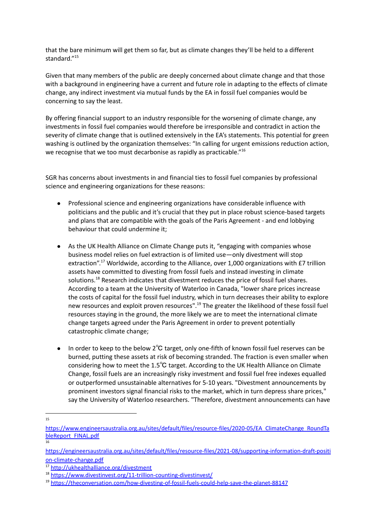that the bare minimum will get them so far, but as climate changes they'll be held to a different standard." 15

Given that many members of the public are deeply concerned about climate change and that those with a background in engineering have a current and future role in adapting to the effects of climate change, any indirect investment via mutual funds by the EA in fossil fuel companies would be concerning to say the least.

By offering financial support to an industry responsible for the worsening of climate change, any investments in fossil fuel companies would therefore be irresponsible and contradict in action the severity of climate change that is outlined extensively in the EA's statements. This potential for green washing is outlined by the organization themselves: "In calling for urgent emissions reduction action, we recognise that we too must decarbonise as rapidly as practicable."<sup>16</sup>

SGR has concerns about investments in and financial ties to fossil fuel companies by professional science and engineering organizations for these reasons:

- Professional science and engineering organizations have considerable influence with politicians and the public and it's crucial that they put in place robust science-based targets and plans that are compatible with the goals of the Paris Agreement - and end lobbying behaviour that could undermine it;
- As the UK Health Alliance on Climate Change puts it, "engaging with companies whose business model relies on fuel extraction is of limited use—only divestment will stop extraction".<sup>17</sup> Worldwide, according to the Alliance, over 1,000 organizations with £7 trillion assets have committed to divesting from fossil fuels and instead investing in climate solutions.<sup>18</sup> Research indicates that divestment reduces the price of fossil fuel shares. According to a team at the University of Waterloo in Canada, "lower share prices increase the costs of capital for the fossil fuel industry, which in turn decreases their ability to explore new resources and exploit proven resources".<sup>19</sup> The greater the likelihood of these fossil fuel resources staying in the ground, the more likely we are to meet the international climate change targets agreed under the Paris Agreement in order to prevent potentially catastrophic climate change;
- In order to keep to the below 2℃ target, only one-fifth of known fossil fuel reserves can be burned, putting these assets at risk of becoming stranded. The fraction is even smaller when considering how to meet the 1.5℃ target. According to the UK Health [Alliance](http://ukhealthalliance.org/divestment) on Climate [Change](http://ukhealthalliance.org/divestment), fossil fuels are an increasingly risky investment and fossil fuel free indexes equalled or outperformed unsustainable alternatives for 5-10 years. "Divestment announcements by prominent investors signal financial risks to the market, which in turn depress share prices," say the University of Waterloo researchers. "Therefore, divestment announcements can have

<sup>15</sup>

<sup>16</sup> [https://www.engineersaustralia.org.au/sites/default/files/resource-files/2020-05/EA\\_ClimateChange\\_RoundTa](https://www.engineersaustralia.org.au/sites/default/files/resource-files/2020-05/EA_ClimateChange_RoundTableReport_FINAL.pdf) [bleReport\\_FINAL.pdf](https://www.engineersaustralia.org.au/sites/default/files/resource-files/2020-05/EA_ClimateChange_RoundTableReport_FINAL.pdf)

[https://engineersaustralia.org.au/sites/default/files/resource-files/2021-08/supporting-information-draft-positi](https://engineersaustralia.org.au/sites/default/files/resource-files/2021-08/supporting-information-draft-position-climate-change.pdf) [on-climate-change.pdf](https://engineersaustralia.org.au/sites/default/files/resource-files/2021-08/supporting-information-draft-position-climate-change.pdf)

<sup>17</sup> <http://ukhealthalliance.org/divestment>

<sup>18</sup> <https://www.divestinvest.org/11-trillion-counting-divestinvest/>

<sup>19</sup> <https://theconversation.com/how-divesting-of-fossil-fuels-could-help-save-the-planet-88147>